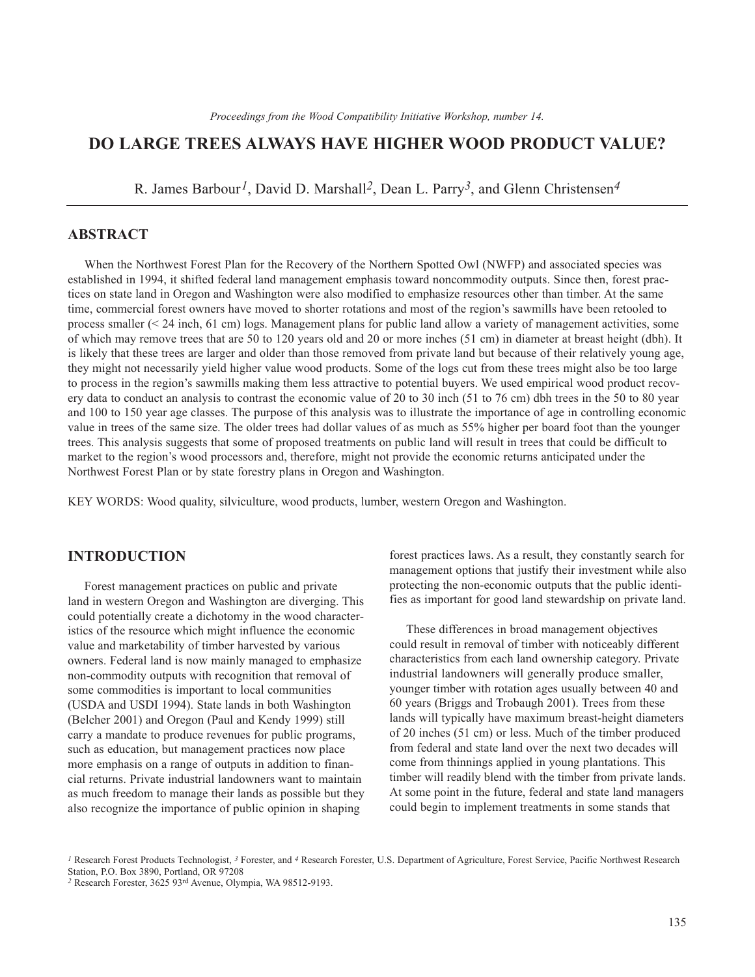# **DO LARGE TREES ALWAYS HAVE HIGHER WOOD PRODUCT VALUE?**

R. James Barbour*1*, David D. Marshall*2*, Dean L. Parry*3*, and Glenn Christensen*4* 

## **ABSTRACT**

When the Northwest Forest Plan for the Recovery of the Northern Spotted Owl (NWFP) and associated species was established in 1994, it shifted federal land management emphasis toward noncommodity outputs. Since then, forest practices on state land in Oregon and Washington were also modified to emphasize resources other than timber. At the same time, commercial forest owners have moved to shorter rotations and most of the region's sawmills have been retooled to process smaller (< 24 inch, 61 cm) logs. Management plans for public land allow a variety of management activities, some of which may remove trees that are 50 to 120 years old and 20 or more inches (51 cm) in diameter at breast height (dbh). It is likely that these trees are larger and older than those removed from private land but because of their relatively young age, they might not necessarily yield higher value wood products. Some of the logs cut from these trees might also be too large to process in the region's sawmills making them less attractive to potential buyers. We used empirical wood product recovery data to conduct an analysis to contrast the economic value of 20 to 30 inch (51 to 76 cm) dbh trees in the 50 to 80 year and 100 to 150 year age classes. The purpose of this analysis was to illustrate the importance of age in controlling economic value in trees of the same size. The older trees had dollar values of as much as 55% higher per board foot than the younger trees. This analysis suggests that some of proposed treatments on public land will result in trees that could be difficult to market to the region's wood processors and, therefore, might not provide the economic returns anticipated under the Northwest Forest Plan or by state forestry plans in Oregon and Washington.

KEY WORDS: Wood quality, silviculture, wood products, lumber, western Oregon and Washington.

### **INTRODUCTION**

Forest management practices on public and private land in western Oregon and Washington are diverging. This could potentially create a dichotomy in the wood characteristics of the resource which might influence the economic value and marketability of timber harvested by various owners. Federal land is now mainly managed to emphasize non-commodity outputs with recognition that removal of some commodities is important to local communities (USDA and USDI 1994). State lands in both Washington (Belcher 2001) and Oregon (Paul and Kendy 1999) still carry a mandate to produce revenues for public programs, such as education, but management practices now place more emphasis on a range of outputs in addition to financial returns. Private industrial landowners want to maintain as much freedom to manage their lands as possible but they also recognize the importance of public opinion in shaping

forest practices laws. As a result, they constantly search for management options that justify their investment while also protecting the non-economic outputs that the public identifies as important for good land stewardship on private land.

These differences in broad management objectives could result in removal of timber with noticeably different characteristics from each land ownership category. Private industrial landowners will generally produce smaller, younger timber with rotation ages usually between 40 and 60 years (Briggs and Trobaugh 2001). Trees from these lands will typically have maximum breast-height diameters of 20 inches (51 cm) or less. Much of the timber produced from federal and state land over the next two decades will come from thinnings applied in young plantations. This timber will readily blend with the timber from private lands. At some point in the future, federal and state land managers could begin to implement treatments in some stands that

*<sup>1</sup>* Research Forest Products Technologist, *3* Forester, and *4* Research Forester, U.S. Department of Agriculture, Forest Service, Pacific Northwest Research Station, P.O. Box 3890, Portland, OR 97208

*<sup>2</sup>* Research Forester, 3625 93rd Avenue, Olympia, WA 98512-9193.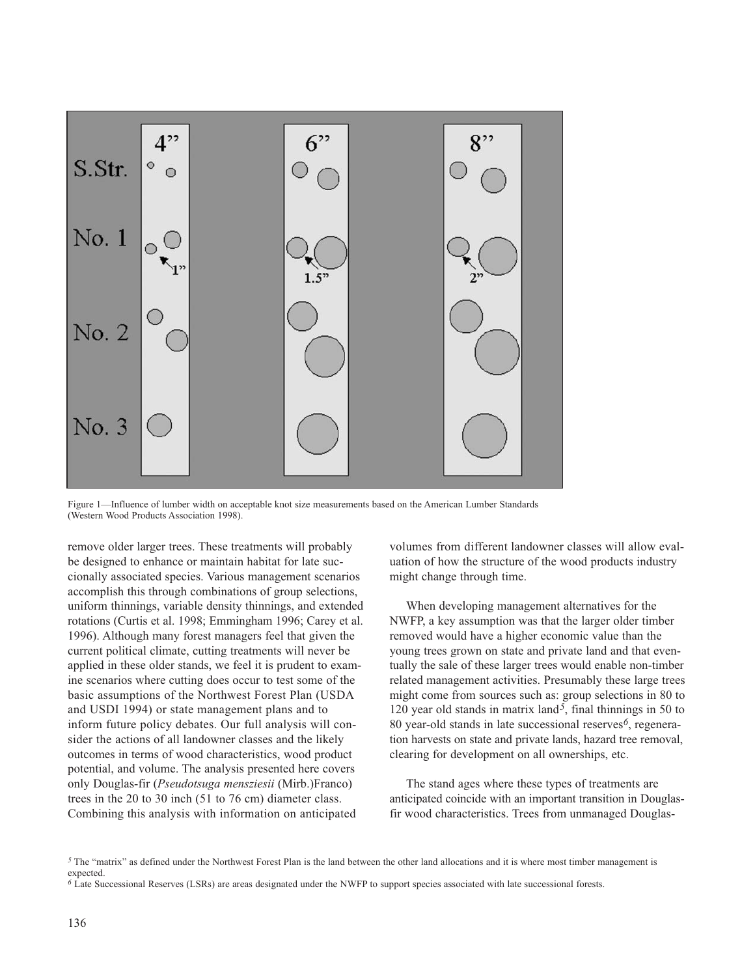

Figure 1—Influence of lumber width on acceptable knot size measurements based on the American Lumber Standards (Western Wood Products Association 1998).

 sider the actions of all landowner classes and the likely Combining this analysis with information on anticipated remove older larger trees. These treatments will probably be designed to enhance or maintain habitat for late succionally associated species. Various management scenarios accomplish this through combinations of group selections, uniform thinnings, variable density thinnings, and extended rotations (Curtis et al. 1998; Emmingham 1996; Carey et al. 1996). Although many forest managers feel that given the current political climate, cutting treatments will never be applied in these older stands, we feel it is prudent to examine scenarios where cutting does occur to test some of the basic assumptions of the Northwest Forest Plan (USDA and USDI 1994) or state management plans and to inform future policy debates. Our full analysis will conoutcomes in terms of wood characteristics, wood product potential, and volume. The analysis presented here covers only Douglas-fir (*Pseudotsuga mensziesii* (Mirb.)Franco) trees in the 20 to 30 inch (51 to 76 cm) diameter class.

volumes from different landowner classes will allow evaluation of how the structure of the wood products industry might change through time.

When developing management alternatives for the NWFP, a key assumption was that the larger older timber removed would have a higher economic value than the young trees grown on state and private land and that eventually the sale of these larger trees would enable non-timber related management activities. Presumably these large trees might come from sources such as: group selections in 80 to 120 year old stands in matrix land*5*, final thinnings in 50 to 80 year-old stands in late successional reserves*6*, regeneration harvests on state and private lands, hazard tree removal, clearing for development on all ownerships, etc.

The stand ages where these types of treatments are anticipated coincide with an important transition in Douglasfir wood characteristics. Trees from unmanaged Douglas-

*5* The "matrix" as defined under the Northwest Forest Plan is the land between the other land allocations and it is where most timber management is expected.

*<sup>6</sup>* Late Successional Reserves (LSRs) are areas designated under the NWFP to support species associated with late successional forests.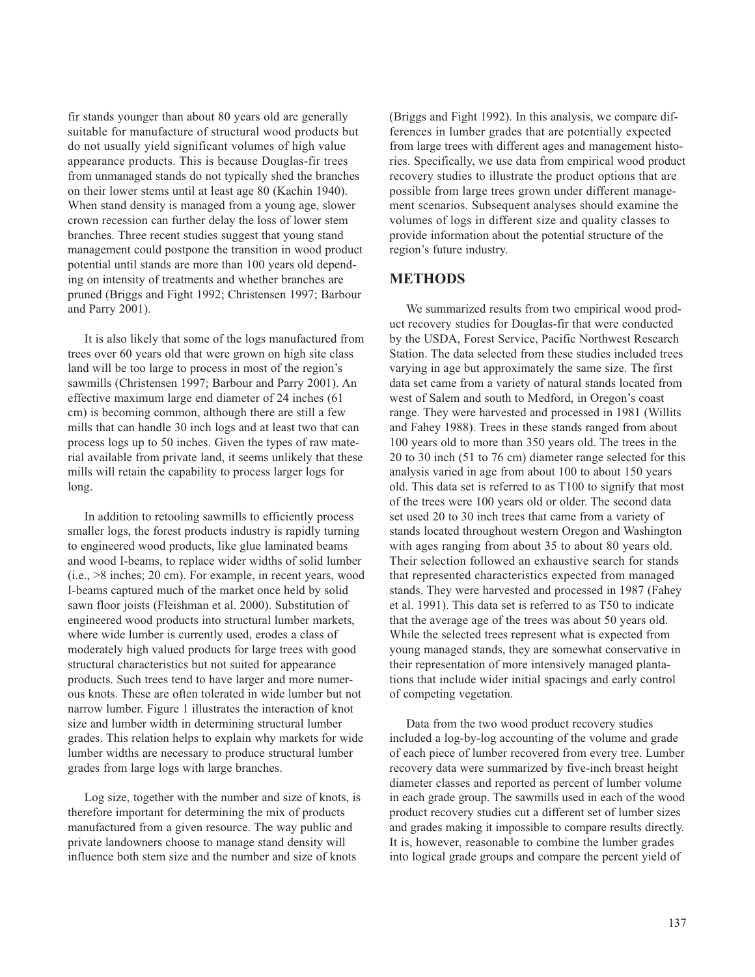fir stands younger than about 80 years old are generally suitable for manufacture of structural wood products but do not usually yield significant volumes of high value appearance products. This is because Douglas-fir trees from unmanaged stands do not typically shed the branches on their lower stems until at least age 80 (Kachin 1940). When stand density is managed from a young age, slower crown recession can further delay the loss of lower stem branches. Three recent studies suggest that young stand management could postpone the transition in wood product potential until stands are more than 100 years old depending on intensity of treatments and whether branches are pruned (Briggs and Fight 1992; Christensen 1997; Barbour and Parry 2001).

It is also likely that some of the logs manufactured from trees over 60 years old that were grown on high site class land will be too large to process in most of the region's sawmills (Christensen 1997; Barbour and Parry 2001). An effective maximum large end diameter of 24 inches (61 cm) is becoming common, although there are still a few mills that can handle 30 inch logs and at least two that can process logs up to 50 inches. Given the types of raw material available from private land, it seems unlikely that these mills will retain the capability to process larger logs for long.

In addition to retooling sawmills to efficiently process smaller logs, the forest products industry is rapidly turning to engineered wood products, like glue laminated beams and wood I-beams, to replace wider widths of solid lumber (i.e., >8 inches; 20 cm). For example, in recent years, wood I-beams captured much of the market once held by solid sawn floor joists (Fleishman et al. 2000). Substitution of engineered wood products into structural lumber markets, where wide lumber is currently used, erodes a class of moderately high valued products for large trees with good structural characteristics but not suited for appearance products. Such trees tend to have larger and more numerous knots. These are often tolerated in wide lumber but not narrow lumber. Figure 1 illustrates the interaction of knot size and lumber width in determining structural lumber grades. This relation helps to explain why markets for wide lumber widths are necessary to produce structural lumber grades from large logs with large branches.

Log size, together with the number and size of knots, is therefore important for determining the mix of products manufactured from a given resource. The way public and private landowners choose to manage stand density will influence both stem size and the number and size of knots

(Briggs and Fight 1992). In this analysis, we compare differences in lumber grades that are potentially expected from large trees with different ages and management histories. Specifically, we use data from empirical wood product recovery studies to illustrate the product options that are possible from large trees grown under different management scenarios. Subsequent analyses should examine the volumes of logs in different size and quality classes to provide information about the potential structure of the region's future industry.

### **METHODS**

We summarized results from two empirical wood product recovery studies for Douglas-fir that were conducted by the USDA, Forest Service, Pacific Northwest Research Station. The data selected from these studies included trees varying in age but approximately the same size. The first data set came from a variety of natural stands located from west of Salem and south to Medford, in Oregon's coast range. They were harvested and processed in 1981 (Willits and Fahey 1988). Trees in these stands ranged from about 100 years old to more than 350 years old. The trees in the 20 to 30 inch (51 to 76 cm) diameter range selected for this analysis varied in age from about 100 to about 150 years old. This data set is referred to as T100 to signify that most of the trees were 100 years old or older. The second data set used 20 to 30 inch trees that came from a variety of stands located throughout western Oregon and Washington with ages ranging from about 35 to about 80 years old. Their selection followed an exhaustive search for stands that represented characteristics expected from managed stands. They were harvested and processed in 1987 (Fahey et al. 1991). This data set is referred to as T50 to indicate that the average age of the trees was about 50 years old. While the selected trees represent what is expected from young managed stands, they are somewhat conservative in their representation of more intensively managed plantations that include wider initial spacings and early control of competing vegetation.

Data from the two wood product recovery studies included a log-by-log accounting of the volume and grade of each piece of lumber recovered from every tree. Lumber recovery data were summarized by five-inch breast height diameter classes and reported as percent of lumber volume in each grade group. The sawmills used in each of the wood product recovery studies cut a different set of lumber sizes and grades making it impossible to compare results directly. It is, however, reasonable to combine the lumber grades into logical grade groups and compare the percent yield of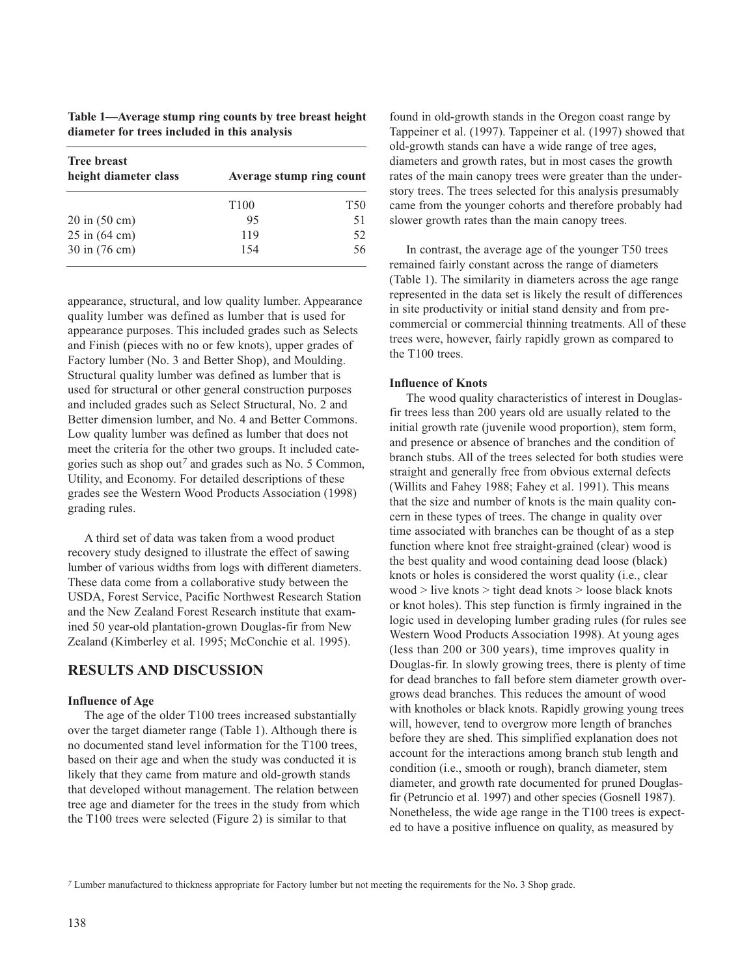| Table 1—Average stump ring counts by tree breast height |  |  |  |  |
|---------------------------------------------------------|--|--|--|--|
| diameter for trees included in this analysis            |  |  |  |  |

| <b>Tree breast</b><br>height diameter class | Average stump ring count |                 |  |
|---------------------------------------------|--------------------------|-----------------|--|
|                                             | T <sub>100</sub>         | T <sub>50</sub> |  |
| $20 \text{ in } (50 \text{ cm})$            | 95                       | 51              |  |
| $25 \text{ in } (64 \text{ cm})$            | 119                      | 52.             |  |
| 30 in (76 cm)                               | 154                      | 56              |  |

appearance, structural, and low quality lumber. Appearance quality lumber was defined as lumber that is used for appearance purposes. This included grades such as Selects and Finish (pieces with no or few knots), upper grades of Factory lumber (No. 3 and Better Shop), and Moulding. Structural quality lumber was defined as lumber that is used for structural or other general construction purposes and included grades such as Select Structural, No. 2 and Better dimension lumber, and No. 4 and Better Commons. Low quality lumber was defined as lumber that does not meet the criteria for the other two groups. It included categories such as shop out*7* and grades such as No. 5 Common, Utility, and Economy. For detailed descriptions of these grades see the Western Wood Products Association (1998) grading rules.

A third set of data was taken from a wood product recovery study designed to illustrate the effect of sawing lumber of various widths from logs with different diameters. These data come from a collaborative study between the USDA, Forest Service, Pacific Northwest Research Station and the New Zealand Forest Research institute that examined 50 year-old plantation-grown Douglas-fir from New Zealand (Kimberley et al. 1995; McConchie et al. 1995).

## **RESULTS AND DISCUSSION**

#### **Influence of Age**

The age of the older T100 trees increased substantially over the target diameter range (Table 1). Although there is no documented stand level information for the T100 trees, based on their age and when the study was conducted it is likely that they came from mature and old-growth stands that developed without management. The relation between tree age and diameter for the trees in the study from which the T100 trees were selected (Figure 2) is similar to that

found in old-growth stands in the Oregon coast range by Tappeiner et al. (1997). Tappeiner et al. (1997) showed that old-growth stands can have a wide range of tree ages, diameters and growth rates, but in most cases the growth rates of the main canopy trees were greater than the understory trees. The trees selected for this analysis presumably came from the younger cohorts and therefore probably had slower growth rates than the main canopy trees.

In contrast, the average age of the younger T50 trees remained fairly constant across the range of diameters (Table 1). The similarity in diameters across the age range represented in the data set is likely the result of differences in site productivity or initial stand density and from precommercial or commercial thinning treatments. All of these trees were, however, fairly rapidly grown as compared to the T100 trees.

#### **Influence of Knots**

The wood quality characteristics of interest in Douglasfir trees less than 200 years old are usually related to the initial growth rate (juvenile wood proportion), stem form, and presence or absence of branches and the condition of branch stubs. All of the trees selected for both studies were straight and generally free from obvious external defects (Willits and Fahey 1988; Fahey et al. 1991). This means that the size and number of knots is the main quality concern in these types of trees. The change in quality over time associated with branches can be thought of as a step function where knot free straight-grained (clear) wood is the best quality and wood containing dead loose (black) knots or holes is considered the worst quality (i.e., clear wood > live knots > tight dead knots > loose black knots or knot holes). This step function is firmly ingrained in the logic used in developing lumber grading rules (for rules see Western Wood Products Association 1998). At young ages (less than 200 or 300 years), time improves quality in Douglas-fir. In slowly growing trees, there is plenty of time for dead branches to fall before stem diameter growth overgrows dead branches. This reduces the amount of wood with knotholes or black knots. Rapidly growing young trees will, however, tend to overgrow more length of branches before they are shed. This simplified explanation does not account for the interactions among branch stub length and condition (i.e., smooth or rough), branch diameter, stem diameter, and growth rate documented for pruned Douglasfir (Petruncio et al. 1997) and other species (Gosnell 1987). Nonetheless, the wide age range in the T100 trees is expected to have a positive influence on quality, as measured by

*7* Lumber manufactured to thickness appropriate for Factory lumber but not meeting the requirements for the No. 3 Shop grade.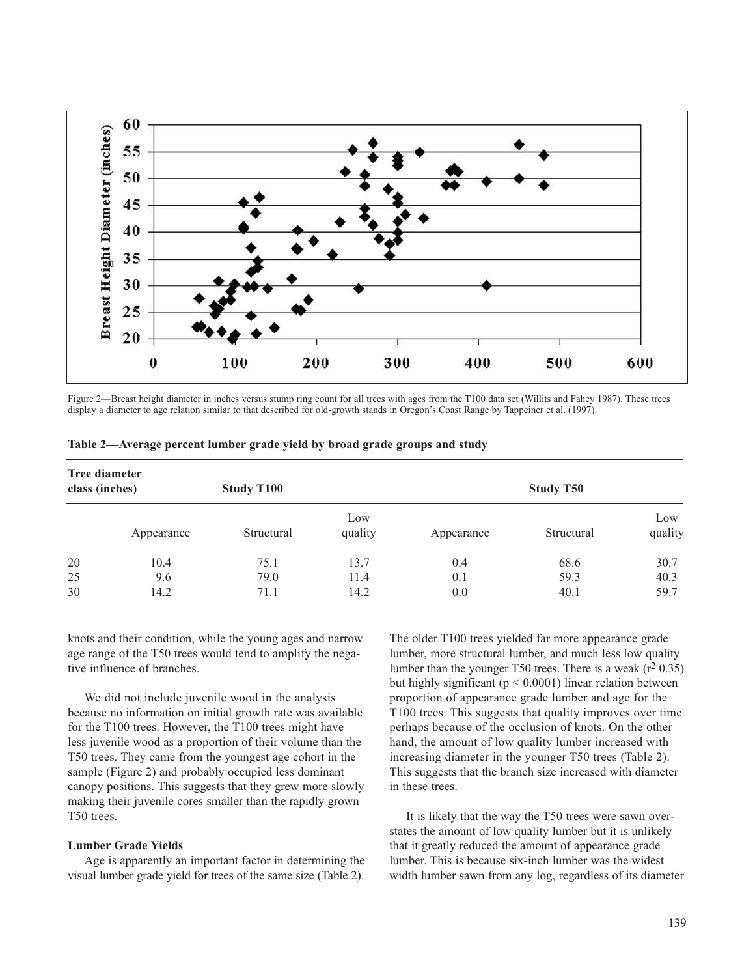

Figure 2—Breast height diameter in inches versus stump ring count for all trees with ages from the T100 data set (Willits and Fahey 1987). These trees display a diameter to age relation similar to that described for old-growth stands in Oregon's Coast Range by Tappeiner et al. (1997).

| <b>Tree diameter</b><br>class (inches) |            | <b>Study T100</b> |                | <b>Study T50</b> |            |                |  |
|----------------------------------------|------------|-------------------|----------------|------------------|------------|----------------|--|
|                                        | Appearance | Structural        | Low<br>quality | Appearance       | Structural | Low<br>quality |  |
| 20                                     | 10.4       | 75.1              | 13.7           | 0.4              | 68.6       | 30.7           |  |
| 25                                     | 9.6        | 79.0              | 11.4           | 0.1              | 59.3       | 40.3           |  |
| 30                                     | 14.2       | 71.1              | 14.2           | 0.0              | 40.1       | 59.7           |  |

**Table 2—Average percent lumber grade yield by broad grade groups and study** 

knots and their condition, while the young ages and narrow age range of the T50 trees would tend to amplify the negative influence of branches.

We did not include juvenile wood in the analysis because no information on initial growth rate was available for the T100 trees. However, the T100 trees might have less juvenile wood as a proportion of their volume than the T50 trees. They came from the youngest age cohort in the sample (Figure 2) and probably occupied less dominant canopy positions. This suggests that they grew more slowly making their juvenile cores smaller than the rapidly grown T50 trees.

#### **Lumber Grade Yields**

Age is apparently an important factor in determining the visual lumber grade yield for trees of the same size (Table 2).

The older T100 trees yielded far more appearance grade lumber, more structural lumber, and much less low quality lumber than the younger T50 trees. There is a weak  $(r^2 0.35)$ but highly significant ( $p < 0.0001$ ) linear relation between proportion of appearance grade lumber and age for the T100 trees. This suggests that quality improves over time perhaps because of the occlusion of knots. On the other hand, the amount of low quality lumber increased with increasing diameter in the younger T50 trees (Table 2). This suggests that the branch size increased with diameter in these trees.

It is likely that the way the T50 trees were sawn overstates the amount of low quality lumber but it is unlikely that it greatly reduced the amount of appearance grade lumber. This is because six-inch lumber was the widest width lumber sawn from any log, regardless of its diameter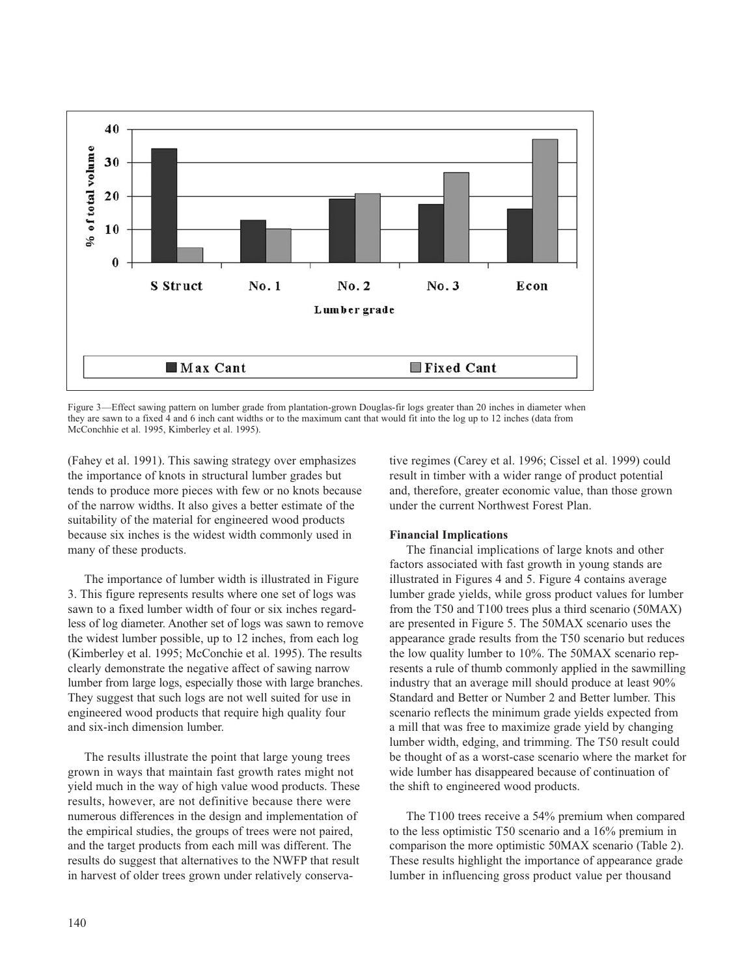

Figure 3—Effect sawing pattern on lumber grade from plantation-grown Douglas-fir logs greater than 20 inches in diameter when they are sawn to a fixed 4 and 6 inch cant widths or to the maximum cant that would fit into the log up to 12 inches (data from McConchhie et al. 1995, Kimberley et al. 1995).

(Fahey et al. 1991). This sawing strategy over emphasizes the importance of knots in structural lumber grades but tends to produce more pieces with few or no knots because of the narrow widths. It also gives a better estimate of the suitability of the material for engineered wood products because six inches is the widest width commonly used in many of these products.

The importance of lumber width is illustrated in Figure 3. This figure represents results where one set of logs was sawn to a fixed lumber width of four or six inches regardless of log diameter. Another set of logs was sawn to remove the widest lumber possible, up to 12 inches, from each log (Kimberley et al. 1995; McConchie et al. 1995). The results clearly demonstrate the negative affect of sawing narrow lumber from large logs, especially those with large branches. They suggest that such logs are not well suited for use in engineered wood products that require high quality four and six-inch dimension lumber.

The results illustrate the point that large young trees grown in ways that maintain fast growth rates might not yield much in the way of high value wood products. These results, however, are not definitive because there were numerous differences in the design and implementation of the empirical studies, the groups of trees were not paired, and the target products from each mill was different. The results do suggest that alternatives to the NWFP that result in harvest of older trees grown under relatively conservative regimes (Carey et al. 1996; Cissel et al. 1999) could result in timber with a wider range of product potential and, therefore, greater economic value, than those grown under the current Northwest Forest Plan.

### **Financial Implications**

The financial implications of large knots and other factors associated with fast growth in young stands are illustrated in Figures 4 and 5. Figure 4 contains average lumber grade yields, while gross product values for lumber from the T50 and T100 trees plus a third scenario (50MAX) are presented in Figure 5. The 50MAX scenario uses the appearance grade results from the T50 scenario but reduces the low quality lumber to 10%. The 50MAX scenario represents a rule of thumb commonly applied in the sawmilling industry that an average mill should produce at least 90% Standard and Better or Number 2 and Better lumber. This scenario reflects the minimum grade yields expected from a mill that was free to maximize grade yield by changing lumber width, edging, and trimming. The T50 result could be thought of as a worst-case scenario where the market for wide lumber has disappeared because of continuation of the shift to engineered wood products.

The T100 trees receive a 54% premium when compared to the less optimistic T50 scenario and a 16% premium in comparison the more optimistic 50MAX scenario (Table 2). These results highlight the importance of appearance grade lumber in influencing gross product value per thousand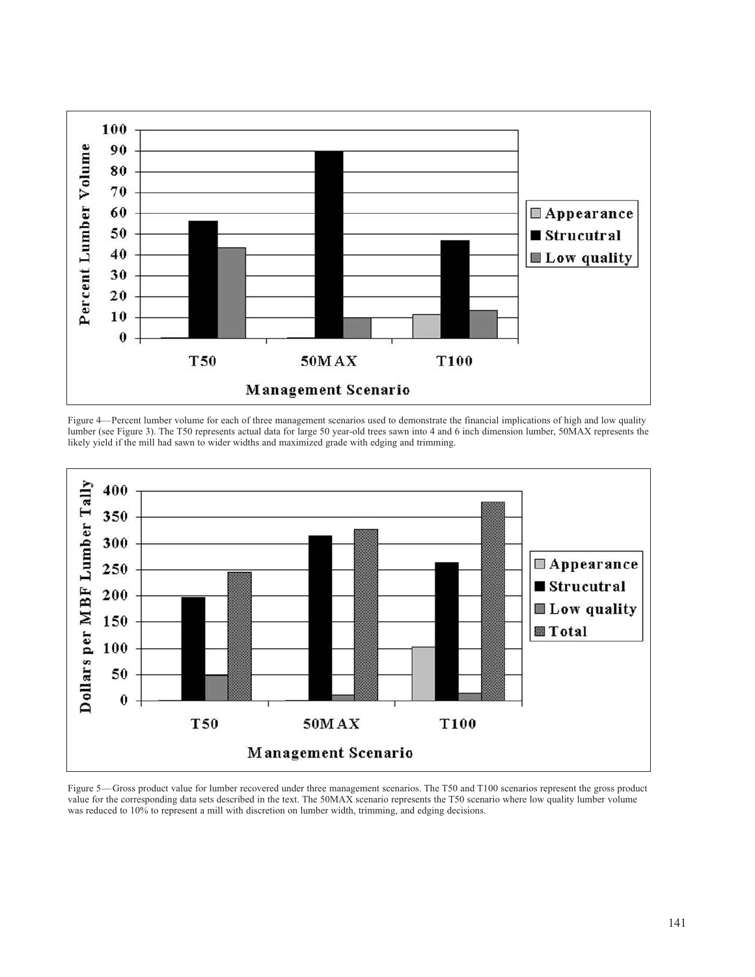

Figure 4—Percent lumber volume for each of three management scenarios used to demonstrate the financial implications of high and low quality lumber (see Figure 3). The T50 represents actual data for large 50 year-old trees sawn into 4 and 6 inch dimension lumber, 50MAX represents the likely yield if the mill had sawn to wider widths and maximized grade with edging and trimming.



Figure 5—Gross product value for lumber recovered under three management scenarios. The T50 and T100 scenarios represent the gross product value for the corresponding data sets described in the text. The 50MAX scenario represents the T50 scenario where low quality lumber volume was reduced to 10% to represent a mill with discretion on lumber width, trimming, and edging decisions.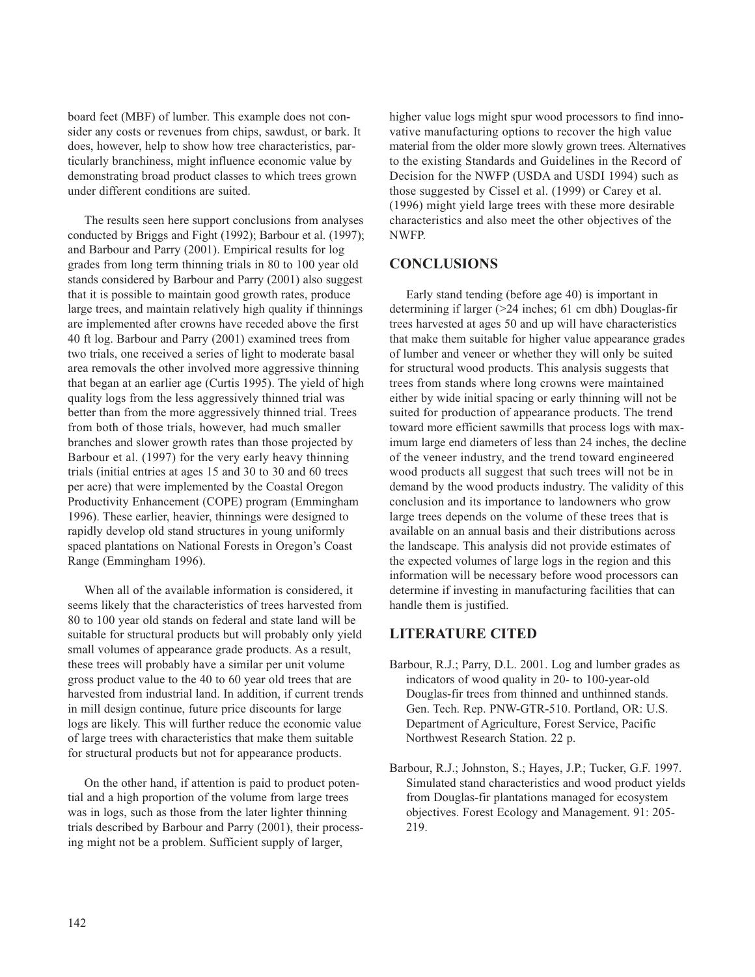board feet (MBF) of lumber. This example does not consider any costs or revenues from chips, sawdust, or bark. It does, however, help to show how tree characteristics, particularly branchiness, might influence economic value by demonstrating broad product classes to which trees grown under different conditions are suited.

The results seen here support conclusions from analyses conducted by Briggs and Fight (1992); Barbour et al. (1997); and Barbour and Parry (2001). Empirical results for log grades from long term thinning trials in 80 to 100 year old stands considered by Barbour and Parry (2001) also suggest that it is possible to maintain good growth rates, produce large trees, and maintain relatively high quality if thinnings are implemented after crowns have receded above the first 40 ft log. Barbour and Parry (2001) examined trees from two trials, one received a series of light to moderate basal area removals the other involved more aggressive thinning that began at an earlier age (Curtis 1995). The yield of high quality logs from the less aggressively thinned trial was better than from the more aggressively thinned trial. Trees from both of those trials, however, had much smaller branches and slower growth rates than those projected by Barbour et al. (1997) for the very early heavy thinning trials (initial entries at ages 15 and 30 to 30 and 60 trees per acre) that were implemented by the Coastal Oregon Productivity Enhancement (COPE) program (Emmingham 1996). These earlier, heavier, thinnings were designed to rapidly develop old stand structures in young uniformly spaced plantations on National Forests in Oregon's Coast Range (Emmingham 1996).

When all of the available information is considered, it seems likely that the characteristics of trees harvested from 80 to 100 year old stands on federal and state land will be suitable for structural products but will probably only yield small volumes of appearance grade products. As a result, these trees will probably have a similar per unit volume gross product value to the 40 to 60 year old trees that are harvested from industrial land. In addition, if current trends in mill design continue, future price discounts for large logs are likely. This will further reduce the economic value of large trees with characteristics that make them suitable for structural products but not for appearance products.

On the other hand, if attention is paid to product potential and a high proportion of the volume from large trees was in logs, such as those from the later lighter thinning trials described by Barbour and Parry (2001), their processing might not be a problem. Sufficient supply of larger,

higher value logs might spur wood processors to find innovative manufacturing options to recover the high value material from the older more slowly grown trees. Alternatives to the existing Standards and Guidelines in the Record of Decision for the NWFP (USDA and USDI 1994) such as those suggested by Cissel et al. (1999) or Carey et al. (1996) might yield large trees with these more desirable characteristics and also meet the other objectives of the NWFP.

# **CONCLUSIONS**

Early stand tending (before age 40) is important in determining if larger (>24 inches; 61 cm dbh) Douglas-fir trees harvested at ages 50 and up will have characteristics that make them suitable for higher value appearance grades of lumber and veneer or whether they will only be suited for structural wood products. This analysis suggests that trees from stands where long crowns were maintained either by wide initial spacing or early thinning will not be suited for production of appearance products. The trend toward more efficient sawmills that process logs with maximum large end diameters of less than 24 inches, the decline of the veneer industry, and the trend toward engineered wood products all suggest that such trees will not be in demand by the wood products industry. The validity of this conclusion and its importance to landowners who grow large trees depends on the volume of these trees that is available on an annual basis and their distributions across the landscape. This analysis did not provide estimates of the expected volumes of large logs in the region and this information will be necessary before wood processors can determine if investing in manufacturing facilities that can handle them is justified.

# **LITERATURE CITED**

- Barbour, R.J.; Parry, D.L. 2001. Log and lumber grades as indicators of wood quality in 20- to 100-year-old Douglas-fir trees from thinned and unthinned stands. Gen. Tech. Rep. PNW-GTR-510. Portland, OR: U.S. Department of Agriculture, Forest Service, Pacific Northwest Research Station. 22 p.
- Barbour, R.J.; Johnston, S.; Hayes, J.P.; Tucker, G.F. 1997. Simulated stand characteristics and wood product yields from Douglas-fir plantations managed for ecosystem objectives. Forest Ecology and Management. 91: 205 219.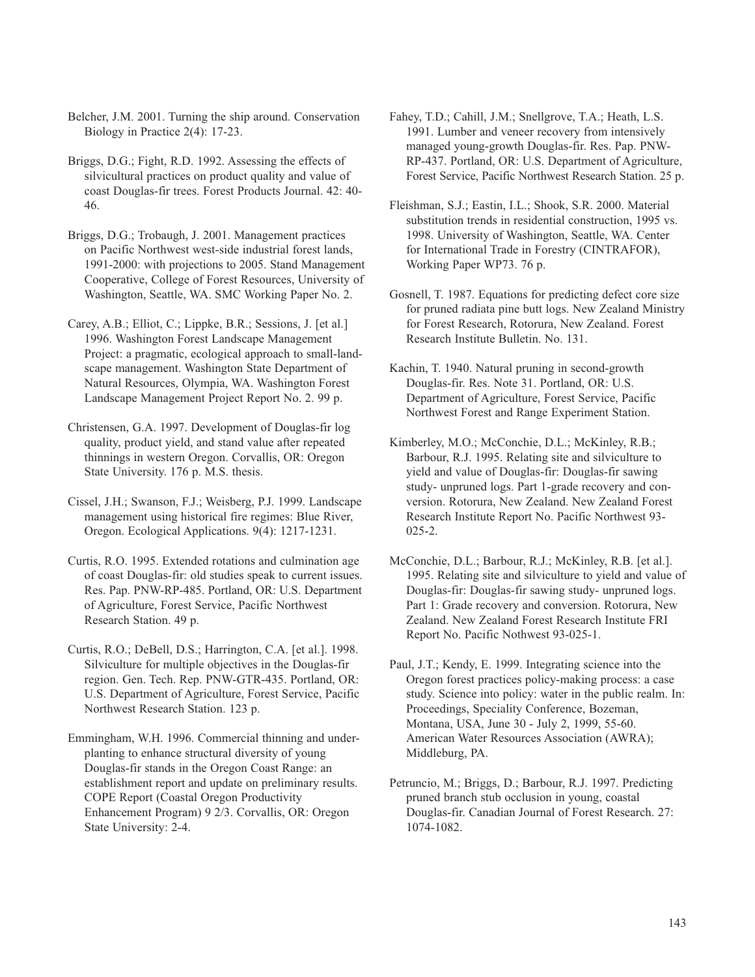Belcher, J.M. 2001. Turning the ship around. Conservation Biology in Practice 2(4): 17-23.

Briggs, D.G.; Fight, R.D. 1992. Assessing the effects of silvicultural practices on product quality and value of coast Douglas-fir trees. Forest Products Journal. 42: 40 46.

Briggs, D.G.; Trobaugh, J. 2001. Management practices on Pacific Northwest west-side industrial forest lands, 1991-2000: with projections to 2005. Stand Management Cooperative, College of Forest Resources, University of Washington, Seattle, WA. SMC Working Paper No. 2.

Carey, A.B.; Elliot, C.; Lippke, B.R.; Sessions, J. [et al.] 1996. Washington Forest Landscape Management Project: a pragmatic, ecological approach to small-landscape management. Washington State Department of Natural Resources, Olympia, WA. Washington Forest Landscape Management Project Report No. 2. 99 p.

Christensen, G.A. 1997. Development of Douglas-fir log quality, product yield, and stand value after repeated thinnings in western Oregon. Corvallis, OR: Oregon State University. 176 p. M.S. thesis.

Cissel, J.H.; Swanson, F.J.; Weisberg, P.J. 1999. Landscape management using historical fire regimes: Blue River, Oregon. Ecological Applications. 9(4): 1217-1231.

Curtis, R.O. 1995. Extended rotations and culmination age of coast Douglas-fir: old studies speak to current issues. Res. Pap. PNW-RP-485. Portland, OR: U.S. Department of Agriculture, Forest Service, Pacific Northwest Research Station. 49 p.

Curtis, R.O.; DeBell, D.S.; Harrington, C.A. [et al.]. 1998. Silviculture for multiple objectives in the Douglas-fir region. Gen. Tech. Rep. PNW-GTR-435. Portland, OR: U.S. Department of Agriculture, Forest Service, Pacific Northwest Research Station. 123 p.

Emmingham, W.H. 1996. Commercial thinning and underplanting to enhance structural diversity of young Douglas-fir stands in the Oregon Coast Range: an establishment report and update on preliminary results. COPE Report (Coastal Oregon Productivity Enhancement Program) 9 2/3. Corvallis, OR: Oregon State University: 2-4.

Fahey, T.D.; Cahill, J.M.; Snellgrove, T.A.; Heath, L.S. 1991. Lumber and veneer recovery from intensively managed young-growth Douglas-fir. Res. Pap. PNW-RP-437. Portland, OR: U.S. Department of Agriculture, Forest Service, Pacific Northwest Research Station. 25 p.

Fleishman, S.J.; Eastin, I.L.; Shook, S.R. 2000. Material substitution trends in residential construction, 1995 vs. 1998. University of Washington, Seattle, WA. Center for International Trade in Forestry (CINTRAFOR), Working Paper WP73. 76 p.

Gosnell, T. 1987. Equations for predicting defect core size for pruned radiata pine butt logs. New Zealand Ministry for Forest Research, Rotorura, New Zealand. Forest Research Institute Bulletin. No. 131.

Kachin, T. 1940. Natural pruning in second-growth Douglas-fir. Res. Note 31. Portland, OR: U.S. Department of Agriculture, Forest Service, Pacific Northwest Forest and Range Experiment Station.

Kimberley, M.O.; McConchie, D.L.; McKinley, R.B.; Barbour, R.J. 1995. Relating site and silviculture to yield and value of Douglas-fir: Douglas-fir sawing study- unpruned logs. Part 1-grade recovery and conversion. Rotorura, New Zealand. New Zealand Forest Research Institute Report No. Pacific Northwest 93 025-2.

McConchie, D.L.; Barbour, R.J.; McKinley, R.B. [et al.]. 1995. Relating site and silviculture to yield and value of Douglas-fir: Douglas-fir sawing study- unpruned logs. Part 1: Grade recovery and conversion. Rotorura, New Zealand. New Zealand Forest Research Institute FRI Report No. Pacific Nothwest 93-025-1.

Paul, J.T.; Kendy, E. 1999. Integrating science into the Oregon forest practices policy-making process: a case study. Science into policy: water in the public realm. In: Proceedings, Speciality Conference, Bozeman, Montana, USA, June 30 - July 2, 1999, 55-60. American Water Resources Association (AWRA); Middleburg, PA.

Petruncio, M.; Briggs, D.; Barbour, R.J. 1997. Predicting pruned branch stub occlusion in young, coastal Douglas-fir. Canadian Journal of Forest Research. 27: 1074-1082.